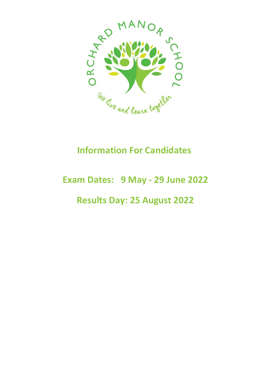

# **Information For Candidates**

# **Exam Dates: 9 May - 29 June 2022**

## **Results Day: 25 August 2022**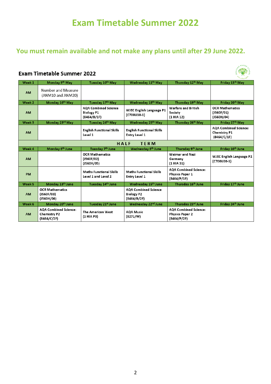## **Exam Timetable Summer 2022**

#### **You must remain available and not make any plans until after 29 June 2022.**

#### **Exam Timetable Summer 2022**

| Week 1              | Monday 9th May                                                     | Tuesday 10th May                                                | Wednesday 11 <sup>th</sup> May                                  | Thursday 12th May                                                     | Friday 13th May                                                   |  |
|---------------------|--------------------------------------------------------------------|-----------------------------------------------------------------|-----------------------------------------------------------------|-----------------------------------------------------------------------|-------------------------------------------------------------------|--|
| <b>AM</b>           | Number and Measure<br>(ANM10 and ANM20)                            |                                                                 |                                                                 |                                                                       |                                                                   |  |
| Week 2              | Monday 16th May                                                    | Tuesday 17th May                                                | Wednesday 18th May                                              | Thursday 19th May                                                     | Friday 20th May                                                   |  |
| <b>AM</b>           |                                                                    | <b>AQA Combined Science</b><br><b>Biology P1</b><br>(8464/B/1F) | <b>WJEC English Language P1</b><br>(C700U10-1)                  | Warfare and British<br>Society<br>(1 HIA 12)                          | <b>OCR Mathematics</b><br>(J560F/01)<br>(J560H/04)                |  |
| Week 3              | Monday 23rd May                                                    | Tuesday 24th May                                                | Wednesday 25th May                                              | Thursday 26th May                                                     | Friday 27th May                                                   |  |
| <b>AM</b>           |                                                                    | <b>English Functional Skills</b><br>Level 1                     | <b>English Functional Skills</b><br><b>Entry Level 1</b>        |                                                                       | <b>AQA Combined Science:</b><br><b>Chemistry P1</b><br>(8464/C/1) |  |
| HALF<br><b>TERM</b> |                                                                    |                                                                 |                                                                 |                                                                       |                                                                   |  |
| Week 4              | Monday 6 <sup>th</sup> June                                        | Tuesday 7th June                                                | Wednesday 8th June                                              | Thursday 9th June                                                     | Friday 10th June                                                  |  |
| <b>AM</b>           |                                                                    | <b>OCR Mathematics</b><br>(J560F/02)<br>(J560H/05)              |                                                                 | <b>Weimar and Nazi</b><br>Germany<br>(1 HIA 31)                       | <b>WJEC English Language P2</b><br>(C700U20-1)                    |  |
| <b>PM</b>           |                                                                    | <b>Maths Functional Skills</b><br>Level 1 and Level 2           | <b>Maths Functional Skills</b><br><b>Entry Level 1</b>          | <b>AQA Combined Science:</b><br><b>Physics Paper 1</b><br>(8464/P/1)  |                                                                   |  |
| Week 5              | Monday 13th June                                                   | Tuesday 14th June                                               | Wednesday 15th June                                             | Thursday 16 <sup>th</sup> June                                        | Friday 17th June                                                  |  |
| <b>AM</b>           | <b>OCR Mathematics</b><br>(J560F/03)<br>(J560H/06)                 |                                                                 | <b>AQA Combined Science</b><br><b>Biology P2</b><br>(8464/B/2F) |                                                                       |                                                                   |  |
| Week 6              | Monday 20 <sup>th</sup> June                                       | Tuesday 21st June                                               | Wednesday 22 <sup>nd</sup> June                                 | Thursday 23rd June                                                    | Friday 24th June                                                  |  |
| <b>AM</b>           | <b>AOA Combined Science:</b><br><b>Chemistry P2</b><br>(8464/C/2F) | The American West<br>(1 HIA P3)                                 | <b>AQA Music</b><br>(8271/W)                                    | <b>AOA Combined Science:</b><br><b>Physics Paper 2</b><br>(8464/P/2F) |                                                                   |  |

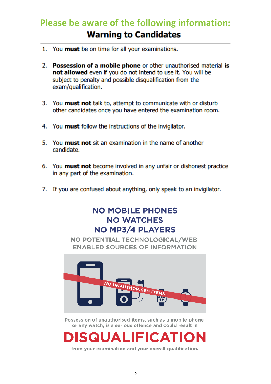# **Please be aware of the following information:Warning to Candidates**

- 1. You must be on time for all your examinations.
- 2. Possession of a mobile phone or other unauthorised material is not allowed even if you do not intend to use it. You will be subject to penalty and possible disqualification from the exam/qualification.
- 3. You must not talk to, attempt to communicate with or disturb other candidates once you have entered the examination room.
- 4. You must follow the instructions of the invigilator.
- 5. You **must not** sit an examination in the name of another candidate.
- 6. You must not become involved in any unfair or dishonest practice in any part of the examination.
- 7. If you are confused about anything, only speak to an invigilator.

#### **NO MOBILE PHONES NO WATCHES NO MP3/4 PLAYERS**

NO POTENTIAL TECHNOLOGICAL/WEB **ENABLED SOURCES OF INFORMATION** 



Possession of unauthorised items, such as a mobile phone or any watch, is a serious offence and could result in



from your examination and your overall qualification.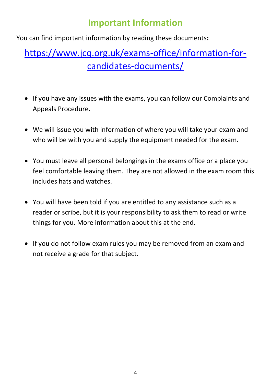## **Important Information**

You can find important information by reading these documents**:** 

# [https://www.jcq.org.uk/exams-office/information-for](https://www.jcq.org.uk/exams-office/information-for-candidates-documents/)[candidates-documents/](https://www.jcq.org.uk/exams-office/information-for-candidates-documents/)

- If you have any issues with the exams, you can follow our Complaints and Appeals Procedure.
- We will issue you with information of where you will take your exam and who will be with you and supply the equipment needed for the exam.
- You must leave all personal belongings in the exams office or a place you feel comfortable leaving them. They are not allowed in the exam room this includes hats and watches.
- You will have been told if you are entitled to any assistance such as a reader or scribe, but it is your responsibility to ask them to read or write things for you. More information about this at the end.
- If you do not follow exam rules you may be removed from an exam and not receive a grade for that subject.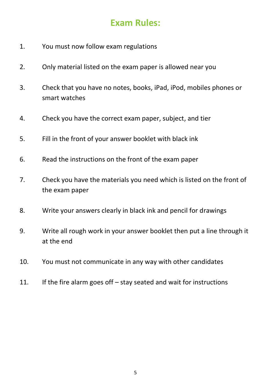## **Exam Rules:**

- 1. You must now follow exam regulations
- 2. Only material listed on the exam paper is allowed near you
- 3. Check that you have no notes, books, iPad, iPod, mobiles phones or smart watches
- 4. Check you have the correct exam paper, subject, and tier
- 5. Fill in the front of your answer booklet with black ink
- 6. Read the instructions on the front of the exam paper
- 7. Check you have the materials you need which is listed on the front of the exam paper
- 8. Write your answers clearly in black ink and pencil for drawings
- 9. Write all rough work in your answer booklet then put a line through it at the end
- 10. You must not communicate in any way with other candidates
- 11. If the fire alarm goes off stay seated and wait for instructions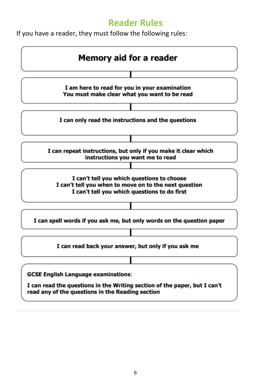#### **Reader Rules**

If you have a reader, they must follow the following rules:

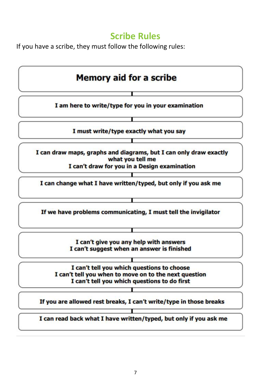#### **Scribe Rules**

If you have a scribe, they must follow the following rules: